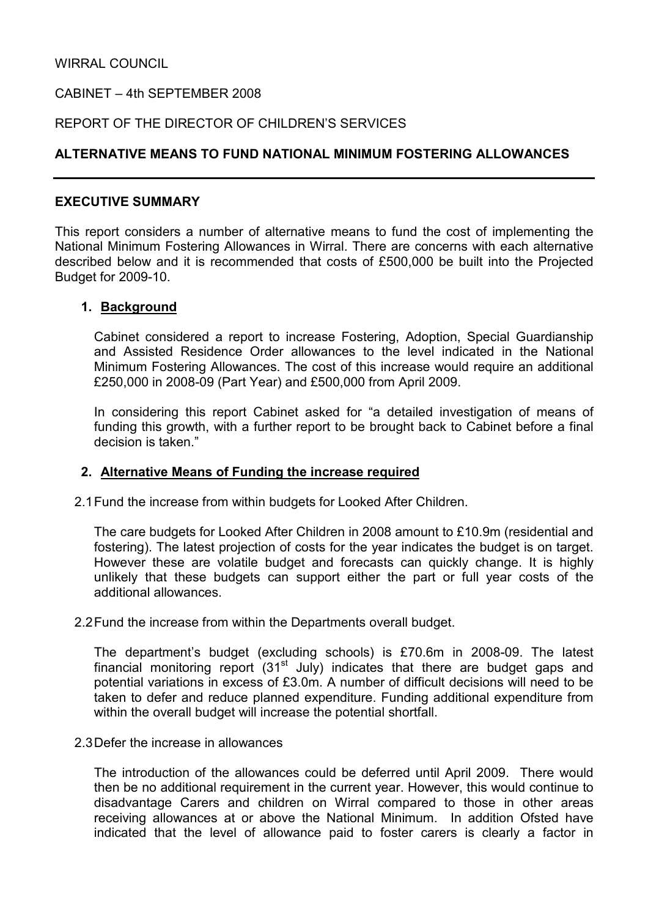WIRRAL COUNCIL

CABINET – 4th SEPTEMBER 2008

REPORT OF THE DIRECTOR OF CHILDREN'S SERVICES

## ALTERNATIVE MEANS TO FUND NATIONAL MINIMUM FOSTERING ALLOWANCES

#### EXECUTIVE SUMMARY

This report considers a number of alternative means to fund the cost of implementing the National Minimum Fostering Allowances in Wirral. There are concerns with each alternative described below and it is recommended that costs of £500,000 be built into the Projected Budget for 2009-10.

#### 1. Background

Cabinet considered a report to increase Fostering, Adoption, Special Guardianship and Assisted Residence Order allowances to the level indicated in the National Minimum Fostering Allowances. The cost of this increase would require an additional £250,000 in 2008-09 (Part Year) and £500,000 from April 2009.

In considering this report Cabinet asked for "a detailed investigation of means of funding this growth, with a further report to be brought back to Cabinet before a final decision is taken."

#### 2. Alternative Means of Funding the increase required

2.1 Fund the increase from within budgets for Looked After Children.

The care budgets for Looked After Children in 2008 amount to £10.9m (residential and fostering). The latest projection of costs for the year indicates the budget is on target. However these are volatile budget and forecasts can quickly change. It is highly unlikely that these budgets can support either the part or full year costs of the additional allowances.

2.2 Fund the increase from within the Departments overall budget.

The department's budget (excluding schools) is £70.6m in 2008-09. The latest financial monitoring report  $(31<sup>st</sup>$  July) indicates that there are budget gaps and potential variations in excess of £3.0m. A number of difficult decisions will need to be taken to defer and reduce planned expenditure. Funding additional expenditure from within the overall budget will increase the potential shortfall.

#### 2.3 Defer the increase in allowances

The introduction of the allowances could be deferred until April 2009. There would then be no additional requirement in the current year. However, this would continue to disadvantage Carers and children on Wirral compared to those in other areas receiving allowances at or above the National Minimum. In addition Ofsted have indicated that the level of allowance paid to foster carers is clearly a factor in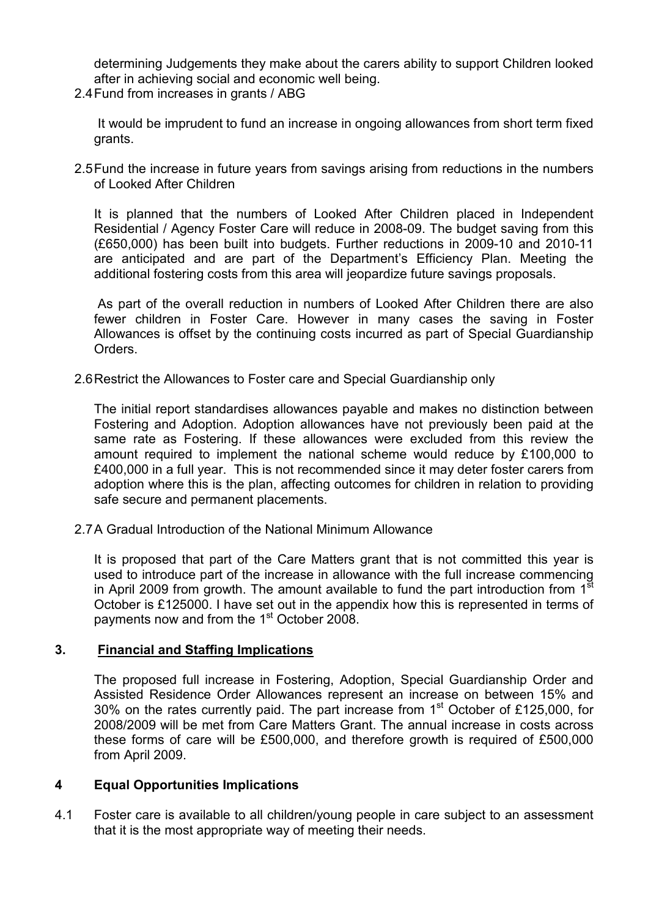determining Judgements they make about the carers ability to support Children looked after in achieving social and economic well being.

2.4 Fund from increases in grants / ABG

 It would be imprudent to fund an increase in ongoing allowances from short term fixed grants.

2.5 Fund the increase in future years from savings arising from reductions in the numbers of Looked After Children

It is planned that the numbers of Looked After Children placed in Independent Residential / Agency Foster Care will reduce in 2008-09. The budget saving from this (£650,000) has been built into budgets. Further reductions in 2009-10 and 2010-11 are anticipated and are part of the Department's Efficiency Plan. Meeting the additional fostering costs from this area will jeopardize future savings proposals.

 As part of the overall reduction in numbers of Looked After Children there are also fewer children in Foster Care. However in many cases the saving in Foster Allowances is offset by the continuing costs incurred as part of Special Guardianship Orders.

2.6 Restrict the Allowances to Foster care and Special Guardianship only

The initial report standardises allowances payable and makes no distinction between Fostering and Adoption. Adoption allowances have not previously been paid at the same rate as Fostering. If these allowances were excluded from this review the amount required to implement the national scheme would reduce by £100,000 to £400,000 in a full year. This is not recommended since it may deter foster carers from adoption where this is the plan, affecting outcomes for children in relation to providing safe secure and permanent placements.

2.7 A Gradual Introduction of the National Minimum Allowance

It is proposed that part of the Care Matters grant that is not committed this year is used to introduce part of the increase in allowance with the full increase commencing in April 2009 from growth. The amount available to fund the part introduction from 1<sup>st</sup> October is £125000. I have set out in the appendix how this is represented in terms of payments now and from the 1<sup>st</sup> October 2008.

## 3. Financial and Staffing Implications

The proposed full increase in Fostering, Adoption, Special Guardianship Order and Assisted Residence Order Allowances represent an increase on between 15% and 30% on the rates currently paid. The part increase from 1<sup>st</sup> October of £125,000, for 2008/2009 will be met from Care Matters Grant. The annual increase in costs across these forms of care will be £500,000, and therefore growth is required of £500,000 from April 2009.

#### 4 Equal Opportunities Implications

4.1 Foster care is available to all children/young people in care subject to an assessment that it is the most appropriate way of meeting their needs.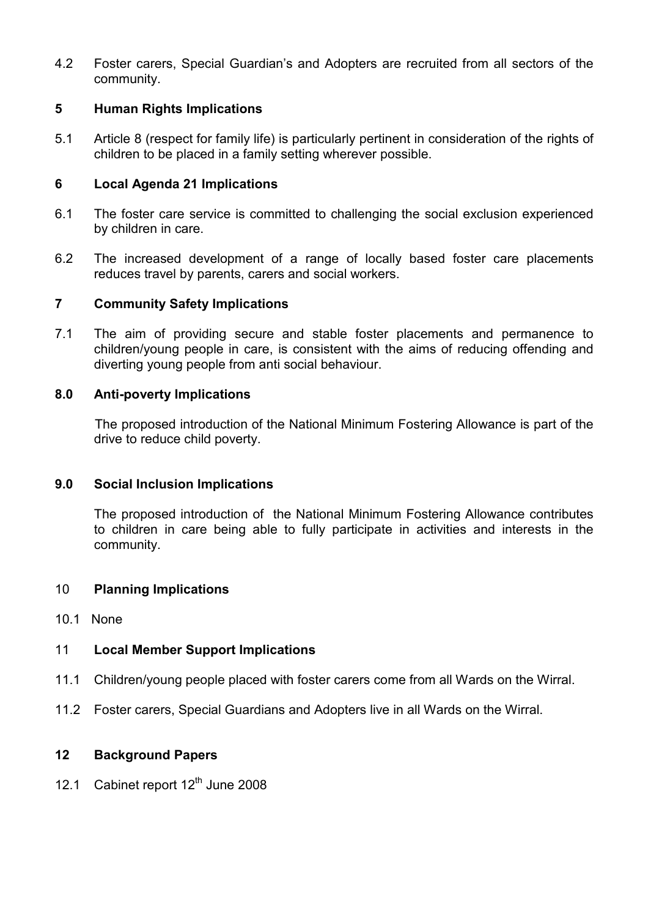4.2 Foster carers, Special Guardian's and Adopters are recruited from all sectors of the community.

# 5 Human Rights Implications

5.1 Article 8 (respect for family life) is particularly pertinent in consideration of the rights of children to be placed in a family setting wherever possible.

# 6 Local Agenda 21 Implications

- 6.1 The foster care service is committed to challenging the social exclusion experienced by children in care.
- 6.2 The increased development of a range of locally based foster care placements reduces travel by parents, carers and social workers.

# 7 Community Safety Implications

7.1 The aim of providing secure and stable foster placements and permanence to children/young people in care, is consistent with the aims of reducing offending and diverting young people from anti social behaviour.

# 8.0 Anti-poverty Implications

 The proposed introduction of the National Minimum Fostering Allowance is part of the drive to reduce child poverty.

## 9.0 Social Inclusion Implications

The proposed introduction of the National Minimum Fostering Allowance contributes to children in care being able to fully participate in activities and interests in the community.

## 10 Planning Implications

10.1 None

# 11 Local Member Support Implications

- 11.1 Children/young people placed with foster carers come from all Wards on the Wirral.
- 11.2 Foster carers, Special Guardians and Adopters live in all Wards on the Wirral.

## 12 Background Papers

12.1 Cabinet report 12<sup>th</sup> June 2008